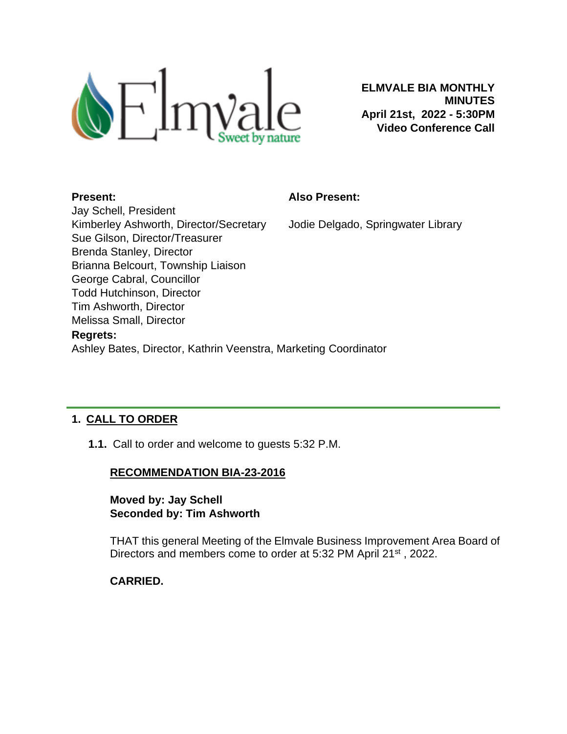

**ELMVALE BIA MONTHLY MINUTES April 21st, 2022 - 5:30PM Video Conference Call**

#### **Present:**

#### **Also Present:**

Jodie Delgado, Springwater Library

Jay Schell, President Kimberley Ashworth, Director/Secretary Sue Gilson, Director/Treasurer Brenda Stanley, Director Brianna Belcourt, Township Liaison George Cabral, Councillor Todd Hutchinson, Director Tim Ashworth, Director Melissa Small, Director **Regrets:**

Ashley Bates, Director, Kathrin Veenstra, Marketing Coordinator

# **1. CALL TO ORDER**

**1.1.** Call to order and welcome to guests 5:32 P.M.

# **RECOMMENDATION BIA-23-2016**

**Moved by: Jay Schell Seconded by: Tim Ashworth**

THAT this general Meeting of the Elmvale Business Improvement Area Board of Directors and members come to order at 5:32 PM April 21<sup>st</sup>, 2022.

# **CARRIED.**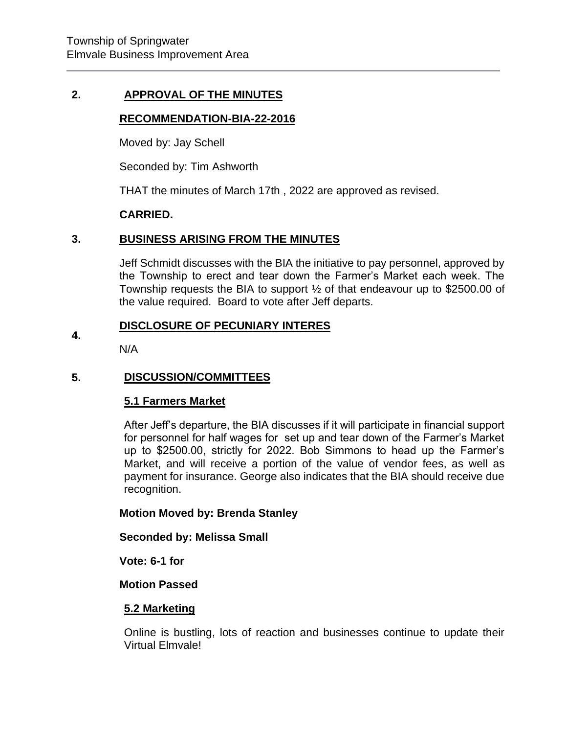### **2. APPROVAL OF THE MINUTES**

## **RECOMMENDATION-BIA-22-2016**

Moved by: Jay Schell

Seconded by: Tim Ashworth

THAT the minutes of March 17th , 2022 are approved as revised.

#### **CARRIED.**

#### **3. BUSINESS ARISING FROM THE MINUTES**

Jeff Schmidt discusses with the BIA the initiative to pay personnel, approved by the Township to erect and tear down the Farmer's Market each week. The Township requests the BIA to support ½ of that endeavour up to \$2500.00 of the value required. Board to vote after Jeff departs.

#### **4. DISCLOSURE OF PECUNIARY INTERES**

N/A

#### **5. DISCUSSION/COMMITTEES**

#### **5.1 Farmers Market**

After Jeff's departure, the BIA discusses if it will participate in financial support for personnel for half wages for set up and tear down of the Farmer's Market up to \$2500.00, strictly for 2022. Bob Simmons to head up the Farmer's Market, and will receive a portion of the value of vendor fees, as well as payment for insurance. George also indicates that the BIA should receive due recognition.

**Motion Moved by: Brenda Stanley** 

**Seconded by: Melissa Small**

**Vote: 6-1 for**

#### **Motion Passed**

#### **5.2 Marketing**

Online is bustling, lots of reaction and businesses continue to update their Virtual Elmvale!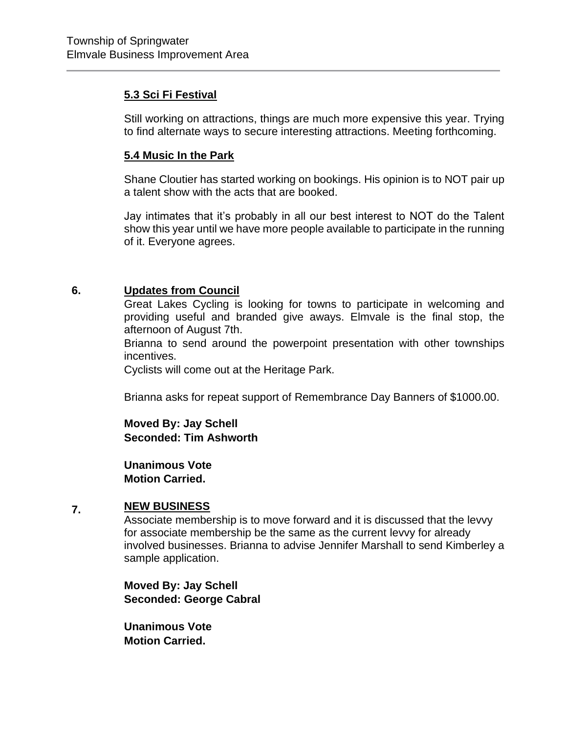# **5.3 Sci Fi Festival**

Still working on attractions, things are much more expensive this year. Trying to find alternate ways to secure interesting attractions. Meeting forthcoming.

# **5.4 Music In the Park**

Shane Cloutier has started working on bookings. His opinion is to NOT pair up a talent show with the acts that are booked.

Jay intimates that it's probably in all our best interest to NOT do the Talent show this year until we have more people available to participate in the running of it. Everyone agrees.

#### **6. Updates from Council**

Great Lakes Cycling is looking for towns to participate in welcoming and providing useful and branded give aways. Elmvale is the final stop, the afternoon of August 7th.

Brianna to send around the powerpoint presentation with other townships incentives.

Cyclists will come out at the Heritage Park.

Brianna asks for repeat support of Remembrance Day Banners of \$1000.00.

**Moved By: Jay Schell Seconded: Tim Ashworth**

**Unanimous Vote Motion Carried.** 

#### **7. NEW BUSINESS**

Associate membership is to move forward and it is discussed that the levvy for associate membership be the same as the current levvy for already involved businesses. Brianna to advise Jennifer Marshall to send Kimberley a sample application.

**Moved By: Jay Schell Seconded: George Cabral**

**Unanimous Vote Motion Carried.**